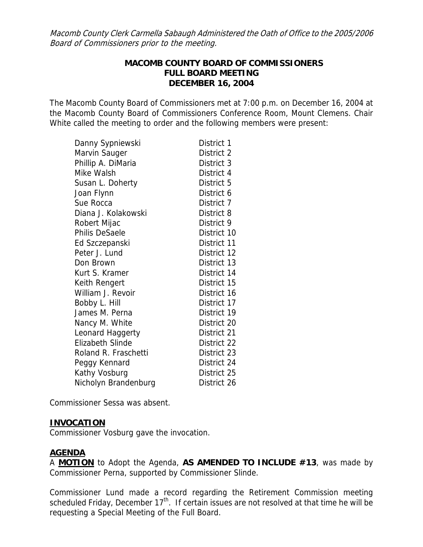Macomb County Clerk Carmella Sabaugh Administered the Oath of Office to the 2005/2006 Board of Commissioners prior to the meeting.

### **MACOMB COUNTY BOARD OF COMMISSIONERS FULL BOARD MEETING DECEMBER 16, 2004**

The Macomb County Board of Commissioners met at 7:00 p.m. on December 16, 2004 at the Macomb County Board of Commissioners Conference Room, Mount Clemens. Chair White called the meeting to order and the following members were present:

| Danny Sypniewski        | District 1  |
|-------------------------|-------------|
| Marvin Sauger           | District 2  |
| Phillip A. DiMaria      | District 3  |
| Mike Walsh              | District 4  |
| Susan L. Doherty        | District 5  |
| Joan Flynn              | District 6  |
| Sue Rocca               | District 7  |
| Diana J. Kolakowski     | District 8  |
| Robert Mijac            | District 9  |
| <b>Philis DeSaele</b>   | District 10 |
| Ed Szczepanski          | District 11 |
| Peter J. Lund           | District 12 |
| Don Brown               | District 13 |
| Kurt S. Kramer          | District 14 |
| Keith Rengert           | District 15 |
| William J. Revoir       | District 16 |
| Bobby L. Hill           | District 17 |
| James M. Perna          | District 19 |
| Nancy M. White          | District 20 |
| Leonard Haggerty        | District 21 |
| <b>Elizabeth Slinde</b> | District 22 |
| Roland R. Fraschetti    | District 23 |
| Peggy Kennard           | District 24 |
| Kathy Vosburg           | District 25 |
| Nicholyn Brandenburg    | District 26 |

Commissioner Sessa was absent.

### **INVOCATION**

Commissioner Vosburg gave the invocation.

## **AGENDA**

A **MOTION** to Adopt the Agenda, **AS AMENDED TO INCLUDE #13**, was made by Commissioner Perna, supported by Commissioner Slinde.

Commissioner Lund made a record regarding the Retirement Commission meeting scheduled Friday, December  $17<sup>th</sup>$ . If certain issues are not resolved at that time he will be requesting a Special Meeting of the Full Board.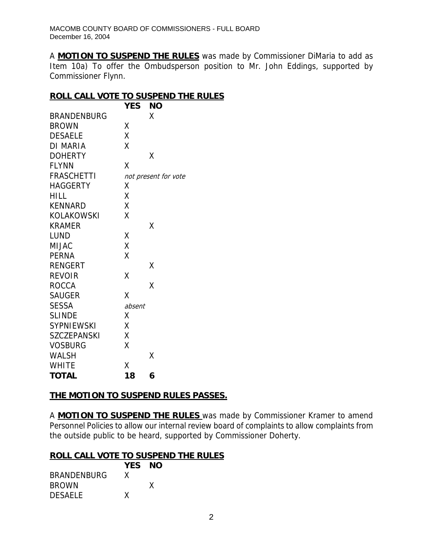A **MOTION TO SUSPEND THE RULES** was made by Commissioner DiMaria to add as Item 10a) To offer the Ombudsperson position to Mr. John Eddings, supported by Commissioner Flynn.

### **ROLL CALL VOTE TO SUSPEND THE RULES**

|                    | YES    | ΝO                   |
|--------------------|--------|----------------------|
| <b>BRANDENBURG</b> |        | χ                    |
| <b>BROWN</b>       | Χ      |                      |
| <b>DESAELE</b>     | Χ      |                      |
| DI MARIA           | X      |                      |
| <b>DOHERTY</b>     |        | Χ                    |
| <b>FLYNN</b>       | Χ      |                      |
| <b>FRASCHETTI</b>  |        | not present for vote |
| <b>HAGGERTY</b>    | Χ      |                      |
| <b>HILL</b>        | Χ      |                      |
| <b>KENNARD</b>     | X      |                      |
| <b>KOLAKOWSKI</b>  | X      |                      |
| <b>KRAMER</b>      |        | Χ                    |
| LUND               | Χ      |                      |
| MIJAC              | X      |                      |
| <b>PERNA</b>       | Χ      |                      |
| <b>RENGERT</b>     |        | χ                    |
| <b>REVOIR</b>      | χ      |                      |
| <b>ROCCA</b>       |        | χ                    |
| <b>SAUGER</b>      | χ      |                      |
| <b>SESSA</b>       | absent |                      |
| <b>SLINDE</b>      | χ      |                      |
| <b>SYPNIEWSKI</b>  | Χ      |                      |
| <b>SZCZEPANSKI</b> | Χ      |                      |
| <b>VOSBURG</b>     | Χ      |                      |
| <b>WALSH</b>       |        | X                    |
| <b>WHITE</b>       | Χ      |                      |
| <b>TOTAL</b>       | 18     | 6                    |

## **THE MOTION TO SUSPEND RULES PASSES.**

A **MOTION TO SUSPEND THE RULES** was made by Commissioner Kramer to amend Personnel Policies to allow our internal review board of complaints to allow complaints from the outside public to be heard, supported by Commissioner Doherty.

## **ROLL CALL VOTE TO SUSPEND THE RULES**

|                    | YES NO |   |
|--------------------|--------|---|
| <b>BRANDENBURG</b> | X      |   |
| <b>BROWN</b>       |        | x |
| <b>DESAELE</b>     | x      |   |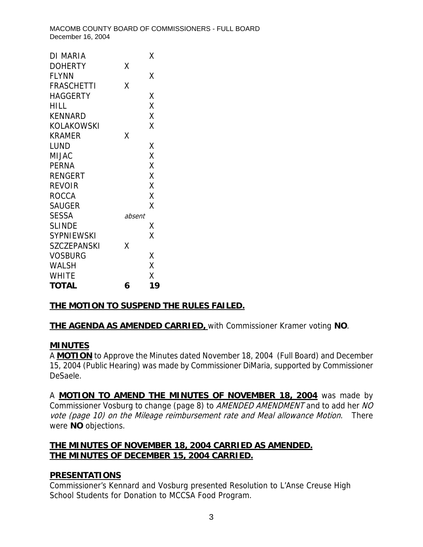| DI MARIA          |        | Χ  |
|-------------------|--------|----|
| <b>DOHERTY</b>    | Χ      |    |
| <b>FLYNN</b>      |        | Χ  |
| <b>FRASCHETTI</b> | χ      |    |
| <b>HAGGERTY</b>   |        | Χ  |
| HILL.             |        | X  |
| <b>KENNARD</b>    |        | X  |
| <b>KOLAKOWSKI</b> |        | X  |
| <b>KRAMER</b>     | Χ      |    |
| LUND              |        | Χ  |
| MIJAC             |        | X  |
| <b>PERNA</b>      |        | X  |
| <b>RENGERT</b>    |        | X  |
| <b>REVOIR</b>     |        | X  |
| <b>ROCCA</b>      |        | X  |
| <b>SAUGER</b>     |        | Χ  |
| <b>SESSA</b>      | absent |    |
| <b>SLINDE</b>     |        | Χ  |
| SYPNIEWSKI        |        | X  |
| SZCZEPANSKI       | χ      |    |
| Vosburg           |        | Χ  |
| WALSH             |        | X  |
| WHITE             |        | X  |
| TOTAL             | 6      | 19 |

# **THE MOTION TO SUSPEND THE RULES FAILED.**

**THE AGENDA AS AMENDED CARRIED,** with Commissioner Kramer voting **NO**.

## **MINUTES**

A **MOTION** to Approve the Minutes dated November 18, 2004 (Full Board) and December 15, 2004 (Public Hearing) was made by Commissioner DiMaria, supported by Commissioner DeSaele.

A **MOTION TO AMEND THE MINUTES OF NOVEMBER 18, 2004** was made by Commissioner Vosburg to change (page 8) to *AMENDED AMENDMENT* and to add her NO vote (page 10) on the Mileage reimbursement rate and Meal allowance Motion. There were **NO** objections.

# **THE MINUTES OF NOVEMBER 18, 2004 CARRIED AS AMENDED. THE MINUTES OF DECEMBER 15, 2004 CARRIED.**

# **PRESENTATIONS**

Commissioner's Kennard and Vosburg presented Resolution to L'Anse Creuse High School Students for Donation to MCCSA Food Program.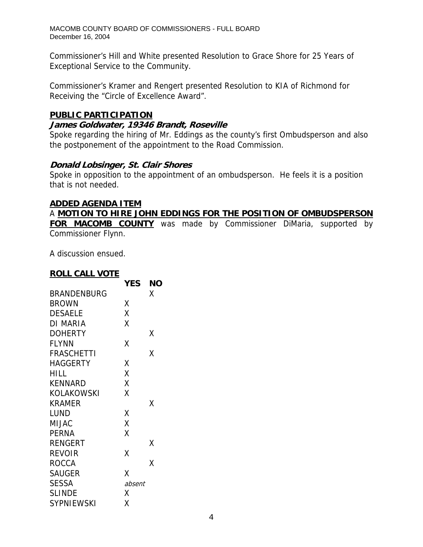Commissioner's Hill and White presented Resolution to Grace Shore for 25 Years of Exceptional Service to the Community.

Commissioner's Kramer and Rengert presented Resolution to KIA of Richmond for Receiving the "Circle of Excellence Award".

### **PUBLIC PARTICIPATION**

### **James Goldwater, 19346 Brandt, Roseville**

Spoke regarding the hiring of Mr. Eddings as the county's first Ombudsperson and also the postponement of the appointment to the Road Commission.

### **Donald Lobsinger, St. Clair Shores**

Spoke in opposition to the appointment of an ombudsperson. He feels it is a position that is not needed.

#### **ADDED AGENDA ITEM**

A **MOTION TO HIRE JOHN EDDINGS FOR THE POSITION OF OMBUDSPERSON FOR MACOMB COUNTY** was made by Commissioner DiMaria, supported by Commissioner Flynn.

A discussion ensued.

### **ROLL CALL VOTE**

|                 | <b>YES</b> | ΝO |
|-----------------|------------|----|
| BRANDENBURG     |            | Χ  |
| <b>BROWN</b>    | Χ          |    |
| <b>DESAELE</b>  | Χ          |    |
| DI MARIA        | X          |    |
| <b>DOHERTY</b>  |            | х  |
| <b>FLYNN</b>    | Χ          |    |
| FRASCHETTI      |            | χ  |
| <b>HAGGERTY</b> | Χ          |    |
| HILL            | Χ          |    |
| KENNARD         | X          |    |
| KOLAKOWSKI      | Χ          |    |
| KRAMER          |            | χ  |
| LUND            | Χ          |    |
| <b>MIJAC</b>    | X          |    |
| <b>PERNA</b>    | X          |    |
| <b>RENGERT</b>  |            | χ  |
| REVOIR          | Χ          |    |
| ROCCA           |            | Χ  |
| <b>SAUGER</b>   | Χ          |    |
| <b>SESSA</b>    | absent     |    |
| <b>SLINDE</b>   | Χ          |    |
| SYPNIEWSKI      | Χ          |    |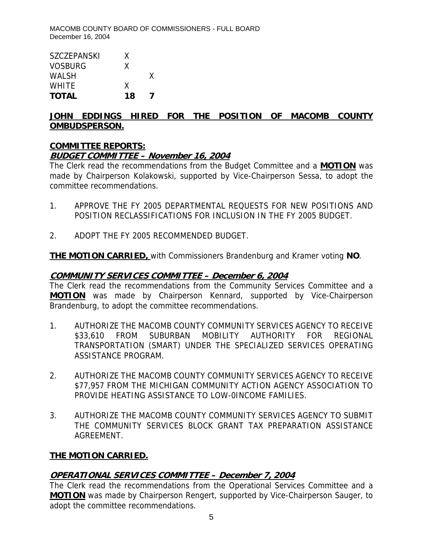| <b>TOTAL</b>       | 18 |   |
|--------------------|----|---|
| <b>WHITE</b>       | X  |   |
| <b>WALSH</b>       |    | X |
| <b>VOSBURG</b>     | X  |   |
| <b>SZCZEPANSKI</b> | X  |   |
|                    |    |   |

### **JOHN EDDINGS HIRED FOR THE POSITION OF MACOMB COUNTY OMBUDSPERSON.**

## **COMMITTEE REPORTS:**

## **BUDGET COMMITTEE – November 16, 2004**

The Clerk read the recommendations from the Budget Committee and a **MOTION** was made by Chairperson Kolakowski, supported by Vice-Chairperson Sessa, to adopt the committee recommendations.

- 1. APPROVE THE FY 2005 DEPARTMENTAL REQUESTS FOR NEW POSITIONS AND POSITION RECLASSIFICATIONS FOR INCLUSION IN THE FY 2005 BUDGET.
- 2. ADOPT THE FY 2005 RECOMMENDED BUDGET.

**THE MOTION CARRIED,** with Commissioners Brandenburg and Kramer voting **NO**.

### **COMMUNITY SERVICES COMMITTEE – December 6, 2004**

The Clerk read the recommendations from the Community Services Committee and a **MOTION** was made by Chairperson Kennard, supported by Vice-Chairperson Brandenburg, to adopt the committee recommendations.

- 1. AUTHORIZE THE MACOMB COUNTY COMMUNITY SERVICES AGENCY TO RECEIVE \$33,610 FROM SUBURBAN MOBILITY AUTHORITY FOR REGIONAL TRANSPORTATION (SMART) UNDER THE SPECIALIZED SERVICES OPERATING ASSISTANCE PROGRAM.
- 2. AUTHORIZE THE MACOMB COUNTY COMMUNITY SERVICES AGENCY TO RECEIVE \$77,957 FROM THE MICHIGAN COMMUNITY ACTION AGENCY ASSOCIATION TO PROVIDE HEATING ASSISTANCE TO LOW-0INCOME FAMILIES.
- 3. AUTHORIZE THE MACOMB COUNTY COMMUNITY SERVICES AGENCY TO SUBMIT THE COMMUNITY SERVICES BLOCK GRANT TAX PREPARATION ASSISTANCE AGREEMENT.

## **THE MOTION CARRIED.**

## **OPERATIONAL SERVICES COMMITTEE – December 7, 2004**

The Clerk read the recommendations from the Operational Services Committee and a **MOTION** was made by Chairperson Rengert, supported by Vice-Chairperson Sauger, to adopt the committee recommendations.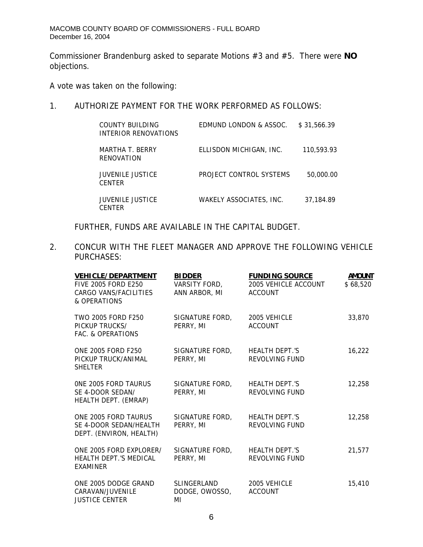Commissioner Brandenburg asked to separate Motions #3 and #5. There were **NO** objections.

A vote was taken on the following:

# 1. AUTHORIZE PAYMENT FOR THE WORK PERFORMED AS FOLLOWS:

| COUNTY BUILDING<br>INTERIOR RENOVATIONS  | EDMUND LONDON & ASSOC.  | \$31,566,39 |
|------------------------------------------|-------------------------|-------------|
| MARTHA T. BERRY<br>RENOVATION            | ELLISDON MICHIGAN, INC. | 110,593.93  |
| <b>JUVENILE JUSTICE</b><br><b>CENTER</b> | PROJECT CONTROL SYSTEMS | 50,000.00   |
| <b>JUVENILE JUSTICE</b><br>CENTER        | WAKELY ASSOCIATES. INC. | 37,184.89   |

FURTHER, FUNDS ARE AVAILABLE IN THE CAPITAL BUDGET.

2. CONCUR WITH THE FLEET MANAGER AND APPROVE THE FOLLOWING VEHICLE PURCHASES:

| <b>VEHICLE/DEPARTMENT</b><br><b>FIVE 2005 FORD E250</b><br>CARGO VANS/FACILITIES<br>& OPERATIONS | <b>BIDDER</b><br>VARSITY FORD,<br>ANN ARBOR, MI | <b>FUNDING SOURCE</b><br>2005 VEHICLE ACCOUNT<br><b>ACCOUNT</b> | <b>AMOUNT</b><br>\$68,520 |
|--------------------------------------------------------------------------------------------------|-------------------------------------------------|-----------------------------------------------------------------|---------------------------|
| TWO 2005 FORD F250<br>PICKUP TRUCKS/<br>FAC. & OPERATIONS                                        | SIGNATURE FORD,<br>PERRY, MI                    | 2005 VEHICLE<br><b>ACCOUNT</b>                                  | 33,870                    |
| ONE 2005 FORD F250<br>PICKUP TRUCK/ANIMAL<br><b>SHELTER</b>                                      | SIGNATURE FORD,<br>PERRY, MI                    | HEALTH DEPT.'S<br>REVOLVING FUND                                | 16,222                    |
| ONE 2005 FORD TAURUS<br>SE 4-DOOR SEDAN/<br>HEALTH DEPT. (EMRAP)                                 | SIGNATURE FORD,<br>PERRY, MI                    | <b>HEALTH DEPT.'S</b><br>REVOLVING FUND                         | 12,258                    |
| ONE 2005 FORD TAURUS<br>SE 4-DOOR SEDAN/HEALTH<br>DEPT. (ENVIRON, HEALTH)                        | SIGNATURE FORD,<br>PERRY, MI                    | <b>HEALTH DEPT.'S</b><br>REVOLVING FUND                         | 12,258                    |
| ONE 2005 FORD EXPLORER/<br><b>HEALTH DEPT.'S MEDICAL</b><br><b>EXAMINER</b>                      | SIGNATURE FORD,<br>PERRY, MI                    | HEALTH DEPT.'S<br>REVOLVING FUND                                | 21,577                    |
| ONE 2005 DODGE GRAND<br>CARAVAN/JUVENILE<br><b>JUSTICE CENTER</b>                                | SLINGERLAND<br>DODGE, OWOSSO,<br>MI             | 2005 VEHICLE<br><b>ACCOUNT</b>                                  | 15,410                    |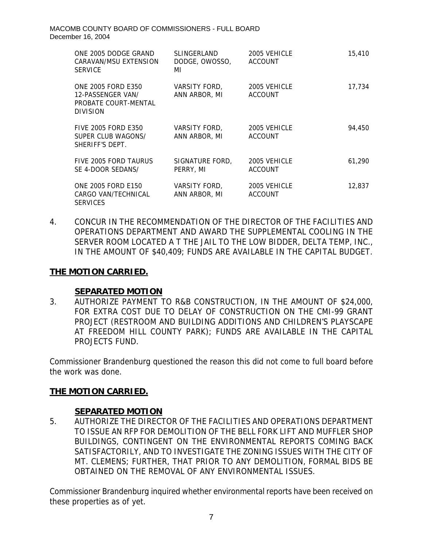| ONE 2005 DODGE GRAND<br>CARAVAN/MSU EXTENSION<br><b>SERVICE</b>                           | SLINGERLAND<br>DODGE, OWOSSO,<br>MI | 2005 VEHICLE<br><b>ACCOUNT</b> | 15,410 |
|-------------------------------------------------------------------------------------------|-------------------------------------|--------------------------------|--------|
| <b>ONE 2005 FORD E350</b><br>12-PASSENGER VAN/<br>PROBATE COURT-MENTAL<br><b>DIVISION</b> | VARSITY FORD,<br>ANN ARBOR, MI      | 2005 VEHICLE<br><b>ACCOUNT</b> | 17,734 |
| <b>FIVE 2005 FORD E350</b><br>SUPER CLUB WAGONS/<br>SHERIFF'S DEPT.                       | VARSITY FORD,<br>ANN ARBOR, MI      | 2005 VEHICLE<br><b>ACCOUNT</b> | 94,450 |
| FIVE 2005 FORD TAURUS<br>SE 4-DOOR SEDANS/                                                | SIGNATURE FORD,<br>PERRY, MI        | 2005 VEHICLE<br><b>ACCOUNT</b> | 61,290 |
| <b>ONE 2005 FORD E150</b><br>CARGO VAN/TECHNICAL<br><b>SERVICES</b>                       | VARSITY FORD,<br>ANN ARBOR, MI      | 2005 VEHICLE<br><b>ACCOUNT</b> | 12,837 |

4. CONCUR IN THE RECOMMENDATION OF THE DIRECTOR OF THE FACILITIES AND OPERATIONS DEPARTMENT AND AWARD THE SUPPLEMENTAL COOLING IN THE SERVER ROOM LOCATED A T THE JAIL TO THE LOW BIDDER, DELTA TEMP, INC., IN THE AMOUNT OF \$40,409; FUNDS ARE AVAILABLE IN THE CAPITAL BUDGET.

### **THE MOTION CARRIED.**

### **SEPARATED MOTION**

3. AUTHORIZE PAYMENT TO R&B CONSTRUCTION, IN THE AMOUNT OF \$24,000, FOR EXTRA COST DUE TO DELAY OF CONSTRUCTION ON THE CMI-99 GRANT PROJECT (RESTROOM AND BUILDING ADDITIONS AND CHILDREN'S PLAYSCAPE AT FREEDOM HILL COUNTY PARK); FUNDS ARE AVAILABLE IN THE CAPITAL PROJECTS FUND.

Commissioner Brandenburg questioned the reason this did not come to full board before the work was done.

### **THE MOTION CARRIED.**

### **SEPARATED MOTION**

5. AUTHORIZE THE DIRECTOR OF THE FACILITIES AND OPERATIONS DEPARTMENT TO ISSUE AN RFP FOR DEMOLITION OF THE BELL FORK LIFT AND MUFFLER SHOP BUILDINGS, CONTINGENT ON THE ENVIRONMENTAL REPORTS COMING BACK SATISFACTORILY, AND TO INVESTIGATE THE ZONING ISSUES WITH THE CITY OF MT. CLEMENS; FURTHER, THAT PRIOR TO ANY DEMOLITION, FORMAL BIDS BE OBTAINED ON THE REMOVAL OF ANY ENVIRONMENTAL ISSUES.

Commissioner Brandenburg inquired whether environmental reports have been received on these properties as of yet.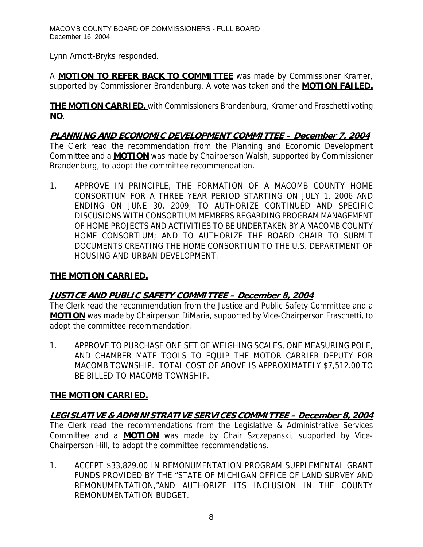Lynn Arnott-Bryks responded.

A **MOTION TO REFER BACK TO COMMITTEE** was made by Commissioner Kramer, supported by Commissioner Brandenburg. A vote was taken and the **MOTION FAILED.**

**THE MOTION CARRIED,** with Commissioners Brandenburg, Kramer and Fraschetti voting **NO**.

**PLANNING AND ECONOMIC DEVELOPMENT COMMITTEE – December 7, 2004** The Clerk read the recommendation from the Planning and Economic Development Committee and a **MOTION** was made by Chairperson Walsh, supported by Commissioner Brandenburg, to adopt the committee recommendation.

1. APPROVE IN PRINCIPLE, THE FORMATION OF A MACOMB COUNTY HOME CONSORTIUM FOR A THREE YEAR PERIOD STARTING ON JULY 1, 2006 AND ENDING ON JUNE 30, 2009; TO AUTHORIZE CONTINUED AND SPECIFIC DISCUSIONS WITH CONSORTIUM MEMBERS REGARDING PROGRAM MANAGEMENT OF HOME PROJECTS AND ACTIVITIES TO BE UNDERTAKEN BY A MACOMB COUNTY HOME CONSORTIUM; AND TO AUTHORIZE THE BOARD CHAIR TO SUBMIT DOCUMENTS CREATING THE HOME CONSORTIUM TO THE U.S. DEPARTMENT OF HOUSING AND URBAN DEVELOPMENT.

# **THE MOTION CARRIED.**

## **JUSTICE AND PUBLIC SAFETY COMMITTEE – December 8, 2004**

The Clerk read the recommendation from the Justice and Public Safety Committee and a **MOTION** was made by Chairperson DiMaria, supported by Vice-Chairperson Fraschetti, to adopt the committee recommendation.

1. APPROVE TO PURCHASE ONE SET OF WEIGHING SCALES, ONE MEASURING POLE, AND CHAMBER MATE TOOLS TO EQUIP THE MOTOR CARRIER DEPUTY FOR MACOMB TOWNSHIP. TOTAL COST OF ABOVE IS APPROXIMATELY \$7,512.00 TO BE BILLED TO MACOMB TOWNSHIP.

## **THE MOTION CARRIED.**

**LEGISLATIVE & ADMINISTRATIVE SERVICES COMMITTEE – December 8, 2004** The Clerk read the recommendations from the Legislative & Administrative Services Committee and a **MOTION** was made by Chair Szczepanski, supported by Vice-Chairperson Hill, to adopt the committee recommendations.

1. ACCEPT \$33,829.00 IN REMONUMENTATION PROGRAM SUPPLEMENTAL GRANT FUNDS PROVIDED BY THE "STATE OF MICHIGAN OFFICE OF LAND SURVEY AND REMONUMENTATION,"AND AUTHORIZE ITS INCLUSION IN THE COUNTY REMONUMENTATION BUDGET.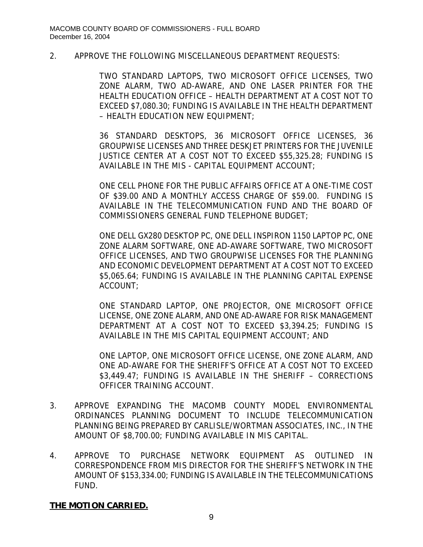#### 2. APPROVE THE FOLLOWING MISCELLANEOUS DEPARTMENT REQUESTS:

TWO STANDARD LAPTOPS, TWO MICROSOFT OFFICE LICENSES, TWO ZONE ALARM, TWO AD-AWARE, AND ONE LASER PRINTER FOR THE HEALTH EDUCATION OFFICE – HEALTH DEPARTMENT AT A COST NOT TO EXCEED \$7,080.30; FUNDING IS AVAILABLE IN THE HEALTH DEPARTMENT – HEALTH EDUCATION NEW EQUIPMENT;

36 STANDARD DESKTOPS, 36 MICROSOFT OFFICE LICENSES, 36 GROUPWISE LICENSES AND THREE DESKJET PRINTERS FOR THE JUVENILE JUSTICE CENTER AT A COST NOT TO EXCEED \$55,325.28; FUNDING IS AVAILABLE IN THE MIS - CAPITAL EQUIPMENT ACCOUNT;

ONE CELL PHONE FOR THE PUBLIC AFFAIRS OFFICE AT A ONE-TIME COST OF \$39.00 AND A MONTHLY ACCESS CHARGE OF \$59.00. FUNDING IS AVAILABLE IN THE TELECOMMUNICATION FUND AND THE BOARD OF COMMISSIONERS GENERAL FUND TELEPHONE BUDGET;

ONE DELL GX280 DESKTOP PC, ONE DELL INSPIRON 1150 LAPTOP PC, ONE ZONE ALARM SOFTWARE, ONE AD-AWARE SOFTWARE, TWO MICROSOFT OFFICE LICENSES, AND TWO GROUPWISE LICENSES FOR THE PLANNING AND ECONOMIC DEVELOPMENT DEPARTMENT AT A COST NOT TO EXCEED \$5,065.64; FUNDING IS AVAILABLE IN THE PLANNING CAPITAL EXPENSE ACCOUNT;

ONE STANDARD LAPTOP, ONE PROJECTOR, ONE MICROSOFT OFFICE LICENSE, ONE ZONE ALARM, AND ONE AD-AWARE FOR RISK MANAGEMENT DEPARTMENT AT A COST NOT TO EXCEED \$3,394.25; FUNDING IS AVAILABLE IN THE MIS CAPITAL EQUIPMENT ACCOUNT; AND

ONE LAPTOP, ONE MICROSOFT OFFICE LICENSE, ONE ZONE ALARM, AND ONE AD-AWARE FOR THE SHERIFF'S OFFICE AT A COST NOT TO EXCEED \$3,449.47; FUNDING IS AVAILABLE IN THE SHERIFF - CORRECTIONS OFFICER TRAINING ACCOUNT.

- 3. APPROVE EXPANDING THE MACOMB COUNTY MODEL ENVIRONMENTAL ORDINANCES PLANNING DOCUMENT TO INCLUDE TELECOMMUNICATION PLANNING BEING PREPARED BY CARLISLE/WORTMAN ASSOCIATES, INC., IN THE AMOUNT OF \$8,700.00; FUNDING AVAILABLE IN MIS CAPITAL.
- 4. APPROVE TO PURCHASE NETWORK EQUIPMENT AS OUTLINED IN CORRESPONDENCE FROM MIS DIRECTOR FOR THE SHERIFF'S NETWORK IN THE AMOUNT OF \$153,334.00; FUNDING IS AVAILABLE IN THE TELECOMMUNICATIONS FUND.

### **THE MOTION CARRIED.**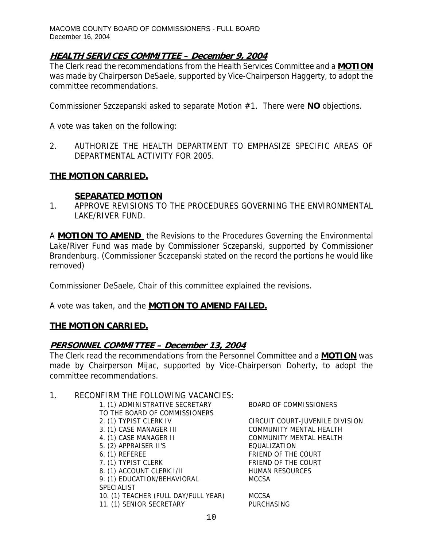## **HEALTH SERVICES COMMITTEE – December 9, 2004**

The Clerk read the recommendations from the Health Services Committee and a **MOTION** was made by Chairperson DeSaele, supported by Vice-Chairperson Haggerty, to adopt the committee recommendations.

Commissioner Szczepanski asked to separate Motion #1. There were **NO** objections.

A vote was taken on the following:

2. AUTHORIZE THE HEALTH DEPARTMENT TO EMPHASIZE SPECIFIC AREAS OF DEPARTMENTAL ACTIVITY FOR 2005.

### **THE MOTION CARRIED.**

#### **SEPARATED MOTION**

1. APPROVE REVISIONS TO THE PROCEDURES GOVERNING THE ENVIRONMENTAL LAKE/RIVER FUND.

A **MOTION TO AMEND** the Revisions to the Procedures Governing the Environmental Lake/River Fund was made by Commissioner Sczepanski, supported by Commissioner Brandenburg. (Commissioner Sczcepanski stated on the record the portions he would like removed)

Commissioner DeSaele, Chair of this committee explained the revisions.

A vote was taken, and the **MOTION TO AMEND FAILED.**

### **THE MOTION CARRIED.**

### **PERSONNEL COMMITTEE – December 13, 2004**

The Clerk read the recommendations from the Personnel Committee and a **MOTION** was made by Chairperson Mijac, supported by Vice-Chairperson Doherty, to adopt the committee recommendations.

#### 1. RECONFIRM THE FOLLOWING VACANCIES:

TO THE BOARD OF COMMISSIONERS 2. (1) TYPIST CLERK IV CIRCUIT COURT-JUVENILE DIVISION 3. (1) CASE MANAGER III COMMUNITY MENTAL HEALTH 4. (1) CASE MANAGER II COMMUNITY MENTAL HEALTH 5. (2) APPRAISER II'S EQUALIZATION 6. (1) REFEREE FRIEND OF THE COURT 7. (1) TYPIST CLERK FRIEND OF THE COURT 8. (1) ACCOUNT CLERK I/II HUMAN RESOURCES 9. (1) EDUCATION/BEHAVIORAL MCCSA **SPECIALIST** 10. (1) TEACHER (FULL DAY/FULL YEAR) MCCSA 11. (1) SENIOR SECRETARY PURCHASING

1. (1) ADMINISTRATIVE SECRETARY BOARD OF COMMISSIONERS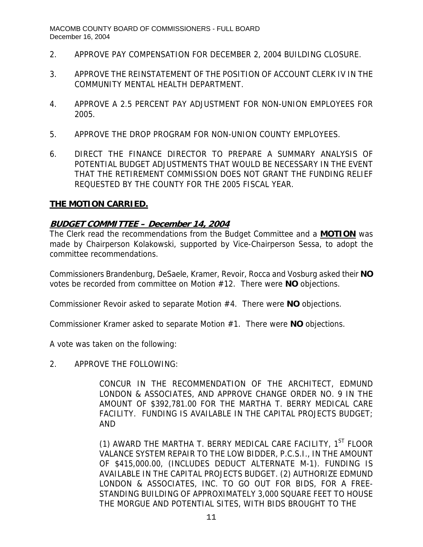- 2. APPROVE PAY COMPENSATION FOR DECEMBER 2, 2004 BUILDING CLOSURE.
- 3. APPROVE THE REINSTATEMENT OF THE POSITION OF ACCOUNT CLERK IV IN THE COMMUNITY MENTAL HEALTH DEPARTMENT.
- 4. APPROVE A 2.5 PERCENT PAY ADJUSTMENT FOR NON-UNION EMPLOYEES FOR 2005.
- 5. APPROVE THE DROP PROGRAM FOR NON-UNION COUNTY EMPLOYEES.
- 6. DIRECT THE FINANCE DIRECTOR TO PREPARE A SUMMARY ANALYSIS OF POTENTIAL BUDGET ADJUSTMENTS THAT WOULD BE NECESSARY IN THE EVENT THAT THE RETIREMENT COMMISSION DOES NOT GRANT THE FUNDING RELIEF REQUESTED BY THE COUNTY FOR THE 2005 FISCAL YEAR.

### **THE MOTION CARRIED.**

### **BUDGET COMMITTEE – December 14, 2004**

The Clerk read the recommendations from the Budget Committee and a **MOTION** was made by Chairperson Kolakowski, supported by Vice-Chairperson Sessa, to adopt the committee recommendations.

Commissioners Brandenburg, DeSaele, Kramer, Revoir, Rocca and Vosburg asked their **NO** votes be recorded from committee on Motion #12. There were **NO** objections.

Commissioner Revoir asked to separate Motion #4. There were **NO** objections.

Commissioner Kramer asked to separate Motion #1. There were **NO** objections.

A vote was taken on the following:

2. APPROVE THE FOLLOWING:

CONCUR IN THE RECOMMENDATION OF THE ARCHITECT, EDMUND LONDON & ASSOCIATES, AND APPROVE CHANGE ORDER NO. 9 IN THE AMOUNT OF \$392,781.00 FOR THE MARTHA T. BERRY MEDICAL CARE FACILITY. FUNDING IS AVAILABLE IN THE CAPITAL PROJECTS BUDGET; AND

(1) AWARD THE MARTHA T. BERRY MEDICAL CARE FACILITY,  $1<sup>ST</sup>$  FLOOR VALANCE SYSTEM REPAIR TO THE LOW BIDDER, P.C.S.I., IN THE AMOUNT OF \$415,000.00, (INCLUDES DEDUCT ALTERNATE M-1). FUNDING IS AVAILABLE IN THE CAPITAL PROJECTS BUDGET. (2) AUTHORIZE EDMUND LONDON & ASSOCIATES, INC. TO GO OUT FOR BIDS, FOR A FREE-STANDING BUILDING OF APPROXIMATELY 3,000 SQUARE FEET TO HOUSE THE MORGUE AND POTENTIAL SITES, WITH BIDS BROUGHT TO THE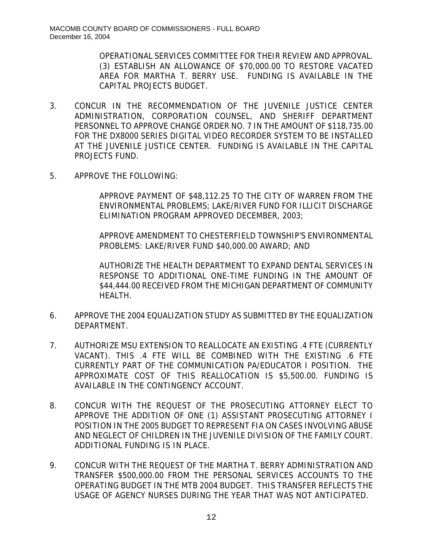OPERATIONAL SERVICES COMMITTEE FOR THEIR REVIEW AND APPROVAL. (3) ESTABLISH AN ALLOWANCE OF \$70,000.00 TO RESTORE VACATED AREA FOR MARTHA T. BERRY USE. FUNDING IS AVAILABLE IN THE CAPITAL PROJECTS BUDGET.

- 3. CONCUR IN THE RECOMMENDATION OF THE JUVENILE JUSTICE CENTER ADMINISTRATION, CORPORATION COUNSEL, AND SHERIFF DEPARTMENT PERSONNEL TO APPROVE CHANGE ORDER NO. 7 IN THE AMOUNT OF \$118,735.00 FOR THE DX8000 SERIES DIGITAL VIDEO RECORDER SYSTEM TO BE INSTALLED AT THE JUVENILE JUSTICE CENTER. FUNDING IS AVAILABLE IN THE CAPITAL PROJECTS FUND.
- 5. APPROVE THE FOLLOWING:

APPROVE PAYMENT OF \$48,112.25 TO THE CITY OF WARREN FROM THE ENVIRONMENTAL PROBLEMS; LAKE/RIVER FUND FOR ILLICIT DISCHARGE ELIMINATION PROGRAM APPROVED DECEMBER, 2003;

APPROVE AMENDMENT TO CHESTERFIELD TOWNSHIP'S ENVIRONMENTAL PROBLEMS: LAKE/RIVER FUND \$40,000.00 AWARD; AND

AUTHORIZE THE HEALTH DEPARTMENT TO EXPAND DENTAL SERVICES IN RESPONSE TO ADDITIONAL ONE-TIME FUNDING IN THE AMOUNT OF \$44,444.00 RECEIVED FROM THE MICHIGAN DEPARTMENT OF COMMUNITY HEALTH.

- 6. APPROVE THE 2004 EQUALIZATION STUDY AS SUBMITTED BY THE EQUALIZATION DEPARTMENT.
- 7. AUTHORIZE MSU EXTENSION TO REALLOCATE AN EXISTING .4 FTE (CURRENTLY VACANT). THIS .4 FTE WILL BE COMBINED WITH THE EXISTING .6 FTE CURRENTLY PART OF THE COMMUNICATION PA/EDUCATOR I POSITION. THE APPROXIMATE COST OF THIS REALLOCATION IS \$5,500.00. FUNDING IS AVAILABLE IN THE CONTINGENCY ACCOUNT.
- 8. CONCUR WITH THE REQUEST OF THE PROSECUTING ATTORNEY ELECT TO APPROVE THE ADDITION OF ONE (1) ASSISTANT PROSECUTING ATTORNEY I POSITION IN THE 2005 BUDGET TO REPRESENT FIA ON CASES INVOLVING ABUSE AND NEGLECT OF CHILDREN IN THE JUVENILE DIVISION OF THE FAMILY COURT. ADDITIONAL FUNDING IS IN PLACE.
- 9. CONCUR WITH THE REQUEST OF THE MARTHA T. BERRY ADMINISTRATION AND TRANSFER \$500,000.00 FROM THE PERSONAL SERVICES ACCOUNTS TO THE OPERATING BUDGET IN THE MTB 2004 BUDGET. THIS TRANSFER REFLECTS THE USAGE OF AGENCY NURSES DURING THE YEAR THAT WAS NOT ANTICIPATED.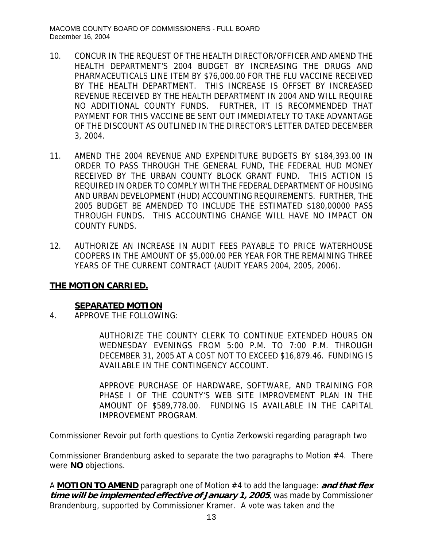- 10. CONCUR IN THE REQUEST OF THE HEALTH DIRECTOR/OFFICER AND AMEND THE HEALTH DEPARTMENT'S 2004 BUDGET BY INCREASING THE DRUGS AND PHARMACEUTICALS LINE ITEM BY \$76,000.00 FOR THE FLU VACCINE RECEIVED BY THE HEALTH DEPARTMENT. THIS INCREASE IS OFFSET BY INCREASED REVENUE RECEIVED BY THE HEALTH DEPARTMENT IN 2004 AND WILL REQUIRE NO ADDITIONAL COUNTY FUNDS. FURTHER, IT IS RECOMMENDED THAT PAYMENT FOR THIS VACCINE BE SENT OUT IMMEDIATELY TO TAKE ADVANTAGE OF THE DISCOUNT AS OUTLINED IN THE DIRECTOR'S LETTER DATED DECEMBER 3, 2004.
- 11. AMEND THE 2004 REVENUE AND EXPENDITURE BUDGETS BY \$184,393.00 IN ORDER TO PASS THROUGH THE GENERAL FUND, THE FEDERAL HUD MONEY RECEIVED BY THE URBAN COUNTY BLOCK GRANT FUND. THIS ACTION IS REQUIRED IN ORDER TO COMPLY WITH THE FEDERAL DEPARTMENT OF HOUSING AND URBAN DEVELOPMENT (HUD) ACCOUNTING REQUIREMENTS. FURTHER, THE 2005 BUDGET BE AMENDED TO INCLUDE THE ESTIMATED \$180,00000 PASS THROUGH FUNDS. THIS ACCOUNTING CHANGE WILL HAVE NO IMPACT ON COUNTY FUNDS.
- 12. AUTHORIZE AN INCREASE IN AUDIT FEES PAYABLE TO PRICE WATERHOUSE COOPERS IN THE AMOUNT OF \$5,000.00 PER YEAR FOR THE REMAINING THREE YEARS OF THE CURRENT CONTRACT (AUDIT YEARS 2004, 2005, 2006).

## **THE MOTION CARRIED.**

## **SEPARATED MOTION**

4. APPROVE THE FOLLOWING:

AUTHORIZE THE COUNTY CLERK TO CONTINUE EXTENDED HOURS ON WEDNESDAY EVENINGS FROM 5:00 P.M. TO 7:00 P.M. THROUGH DECEMBER 31, 2005 AT A COST NOT TO EXCEED \$16,879.46. FUNDING IS AVAILABLE IN THE CONTINGENCY ACCOUNT.

APPROVE PURCHASE OF HARDWARE, SOFTWARE, AND TRAINING FOR PHASE I OF THE COUNTY'S WEB SITE IMPROVEMENT PLAN IN THE AMOUNT OF \$589,778.00. FUNDING IS AVAILABLE IN THE CAPITAL IMPROVEMENT PROGRAM.

Commissioner Revoir put forth questions to Cyntia Zerkowski regarding paragraph two

Commissioner Brandenburg asked to separate the two paragraphs to Motion #4. There were **NO** objections.

A **MOTION TO AMEND** paragraph one of Motion #4 to add the language: **and that flex time will be implemented effective of January 1, 2005**, was made by Commissioner Brandenburg, supported by Commissioner Kramer. A vote was taken and the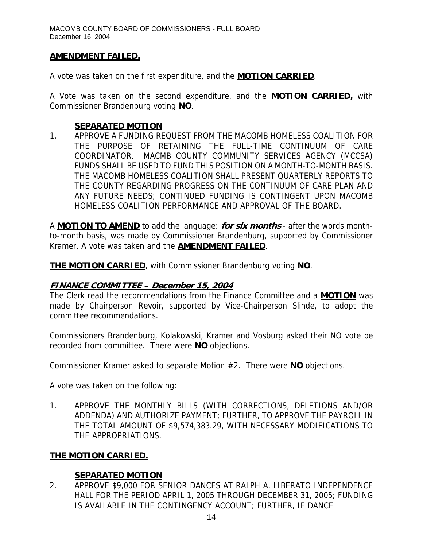### **AMENDMENT FAILED.**

A vote was taken on the first expenditure, and the **MOTION CARRIED**.

A Vote was taken on the second expenditure, and the **MOTION CARRIED,** with Commissioner Brandenburg voting **NO**.

#### **SEPARATED MOTION**

1. APPROVE A FUNDING REQUEST FROM THE MACOMB HOMELESS COALITION FOR THE PURPOSE OF RETAINING THE FULL-TIME CONTINUUM OF CARE COORDINATOR. MACMB COUNTY COMMUNITY SERVICES AGENCY (MCCSA) FUNDS SHALL BE USED TO FUND THIS POSITION ON A MONTH-TO-MONTH BASIS. THE MACOMB HOMELESS COALITION SHALL PRESENT QUARTERLY REPORTS TO THE COUNTY REGARDING PROGRESS ON THE CONTINUUM OF CARE PLAN AND ANY FUTURE NEEDS; CONTINUED FUNDING IS CONTINGENT UPON MACOMB HOMELESS COALITION PERFORMANCE AND APPROVAL OF THE BOARD.

A **MOTION TO AMEND** to add the language: **for six months** - after the words monthto-month basis, was made by Commissioner Brandenburg, supported by Commissioner Kramer. A vote was taken and the **AMENDMENT FAILED**.

**THE MOTION CARRIED**, with Commissioner Brandenburg voting **NO**.

### **FINANCE COMMITTEE – December 15, 2004**

The Clerk read the recommendations from the Finance Committee and a **MOTION** was made by Chairperson Revoir, supported by Vice-Chairperson Slinde, to adopt the committee recommendations.

Commissioners Brandenburg, Kolakowski, Kramer and Vosburg asked their NO vote be recorded from committee. There were **NO** objections.

Commissioner Kramer asked to separate Motion #2. There were **NO** objections.

A vote was taken on the following:

1. APPROVE THE MONTHLY BILLS (WITH CORRECTIONS, DELETIONS AND/OR ADDENDA) AND AUTHORIZE PAYMENT; FURTHER, TO APPROVE THE PAYROLL IN THE TOTAL AMOUNT OF \$9,574,383.29, WITH NECESSARY MODIFICATIONS TO THE APPROPRIATIONS.

## **THE MOTION CARRIED.**

### **SEPARATED MOTION**

2. APPROVE \$9,000 FOR SENIOR DANCES AT RALPH A. LIBERATO INDEPENDENCE HALL FOR THE PERIOD APRIL 1, 2005 THROUGH DECEMBER 31, 2005; FUNDING IS AVAILABLE IN THE CONTINGENCY ACCOUNT; FURTHER, IF DANCE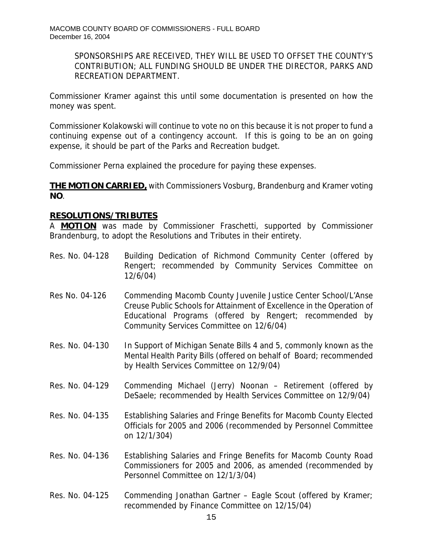SPONSORSHIPS ARE RECEIVED, THEY WILL BE USED TO OFFSET THE COUNTY'S CONTRIBUTION; ALL FUNDING SHOULD BE UNDER THE DIRECTOR, PARKS AND RECREATION DEPARTMENT.

Commissioner Kramer against this until some documentation is presented on how the money was spent.

Commissioner Kolakowski will continue to vote no on this because it is not proper to fund a continuing expense out of a contingency account. If this is going to be an on going expense, it should be part of the Parks and Recreation budget.

Commissioner Perna explained the procedure for paying these expenses.

**THE MOTION CARRIED,** with Commissioners Vosburg, Brandenburg and Kramer voting **NO**.

### **RESOLUTIONS/TRIBUTES**

A **MOTION** was made by Commissioner Fraschetti, supported by Commissioner Brandenburg, to adopt the Resolutions and Tributes in their entirety.

- Res. No. 04-128 Building Dedication of Richmond Community Center (offered by Rengert; recommended by Community Services Committee on 12/6/04)
- Res No. 04-126 Commending Macomb County Juvenile Justice Center School/L'Anse Creuse Public Schools for Attainment of Excellence in the Operation of Educational Programs (offered by Rengert; recommended by Community Services Committee on 12/6/04)
- Res. No. 04-130 In Support of Michigan Senate Bills 4 and 5, commonly known as the Mental Health Parity Bills (offered on behalf of Board; recommended by Health Services Committee on 12/9/04)
- Res. No. 04-129 Commending Michael (Jerry) Noonan Retirement (offered by DeSaele; recommended by Health Services Committee on 12/9/04)
- Res. No. 04-135 Establishing Salaries and Fringe Benefits for Macomb County Elected Officials for 2005 and 2006 (recommended by Personnel Committee on 12/1/304)
- Res. No. 04-136 Establishing Salaries and Fringe Benefits for Macomb County Road Commissioners for 2005 and 2006, as amended (recommended by Personnel Committee on 12/1/3/04)
- Res. No. 04-125 Commending Jonathan Gartner Eagle Scout (offered by Kramer; recommended by Finance Committee on 12/15/04)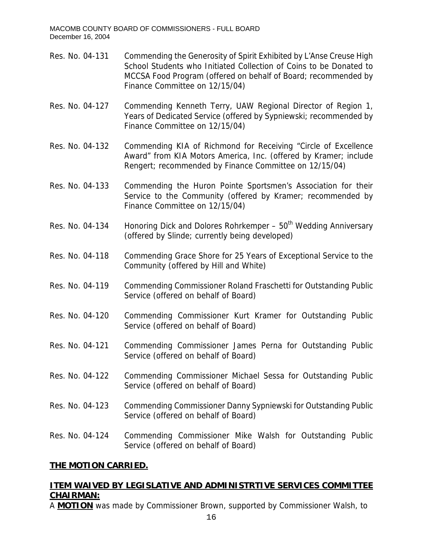- Res. No. 04-131 Commending the Generosity of Spirit Exhibited by L'Anse Creuse High School Students who Initiated Collection of Coins to be Donated to MCCSA Food Program (offered on behalf of Board; recommended by Finance Committee on 12/15/04)
- Res. No. 04-127 Commending Kenneth Terry, UAW Regional Director of Region 1, Years of Dedicated Service (offered by Sypniewski; recommended by Finance Committee on 12/15/04)
- Res. No. 04-132 Commending KIA of Richmond for Receiving "Circle of Excellence Award" from KIA Motors America, Inc. (offered by Kramer; include Rengert; recommended by Finance Committee on 12/15/04)
- Res. No. 04-133 Commending the Huron Pointe Sportsmen's Association for their Service to the Community (offered by Kramer; recommended by Finance Committee on 12/15/04)
- Res. No. 04-134 Honoring Dick and Dolores Rohrkemper  $50<sup>th</sup>$  Wedding Anniversary (offered by Slinde; currently being developed)
- Res. No. 04-118 Commending Grace Shore for 25 Years of Exceptional Service to the Community (offered by Hill and White)
- Res. No. 04-119 Commending Commissioner Roland Fraschetti for Outstanding Public Service (offered on behalf of Board)
- Res. No. 04-120 Commending Commissioner Kurt Kramer for Outstanding Public Service (offered on behalf of Board)
- Res. No. 04-121 Commending Commissioner James Perna for Outstanding Public Service (offered on behalf of Board)
- Res. No. 04-122 Commending Commissioner Michael Sessa for Outstanding Public Service (offered on behalf of Board)
- Res. No. 04-123 Commending Commissioner Danny Sypniewski for Outstanding Public Service (offered on behalf of Board)
- Res. No. 04-124 Commending Commissioner Mike Walsh for Outstanding Public Service (offered on behalf of Board)

## **THE MOTION CARRIED.**

## **ITEM WAIVED BY LEGISLATIVE AND ADMINISTRTIVE SERVICES COMMITTEE CHAIRMAN:**

A **MOTION** was made by Commissioner Brown, supported by Commissioner Walsh, to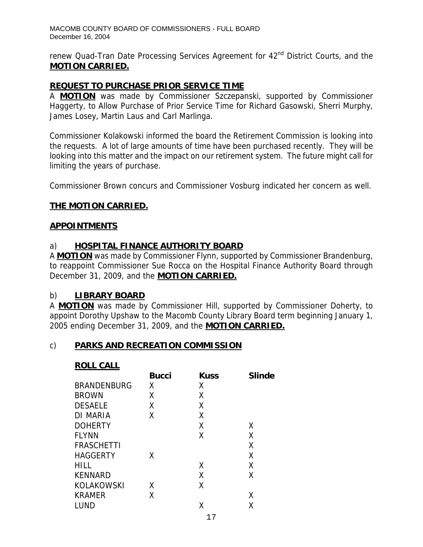renew Quad-Tran Date Processing Services Agreement for 42<sup>nd</sup> District Courts, and the **MOTION CARRIED.**

### **REQUEST TO PURCHASE PRIOR SERVICE TIME**

A **MOTION** was made by Commissioner Szczepanski, supported by Commissioner Haggerty, to Allow Purchase of Prior Service Time for Richard Gasowski, Sherri Murphy, James Losey, Martin Laus and Carl Marlinga.

Commissioner Kolakowski informed the board the Retirement Commission is looking into the requests. A lot of large amounts of time have been purchased recently. They will be looking into this matter and the impact on our retirement system. The future might call for limiting the years of purchase.

Commissioner Brown concurs and Commissioner Vosburg indicated her concern as well.

### **THE MOTION CARRIED.**

### **APPOINTMENTS**

### a) **HOSPITAL FINANCE AUTHORITY BOARD**

A **MOTION** was made by Commissioner Flynn, supported by Commissioner Brandenburg, to reappoint Commissioner Sue Rocca on the Hospital Finance Authority Board through December 31, 2009, and the **MOTION CARRIED.**

### b) **LIBRARY BOARD**

A **MOTION** was made by Commissioner Hill, supported by Commissioner Doherty, to appoint Dorothy Upshaw to the Macomb County Library Board term beginning January 1, 2005 ending December 31, 2009, and the **MOTION CARRIED.**

### c) **PARKS AND RECREATION COMMISSION**

#### **ROLL CALL**

|                    | <b>Bucci</b> | <b>Kuss</b> | <b>Slinde</b> |
|--------------------|--------------|-------------|---------------|
| <b>BRANDENBURG</b> | Χ            | Χ           |               |
| <b>BROWN</b>       | Χ            | χ           |               |
| <b>DESAELE</b>     | χ            | χ           |               |
| DI MARIA           | Χ            | Χ           |               |
| <b>DOHERTY</b>     |              | Χ           | X             |
| <b>FLYNN</b>       |              | χ           | X             |
| <b>FRASCHETTI</b>  |              |             | Χ             |
| <b>HAGGERTY</b>    | χ            |             | X             |
| <b>HILL</b>        |              | χ           | X             |
| <b>KENNARD</b>     |              | χ           | X             |
| <b>KOLAKOWSKI</b>  | X            | Χ           |               |
| <b>KRAMER</b>      | Χ            |             | Χ             |
| LUND               |              | Χ           | Χ             |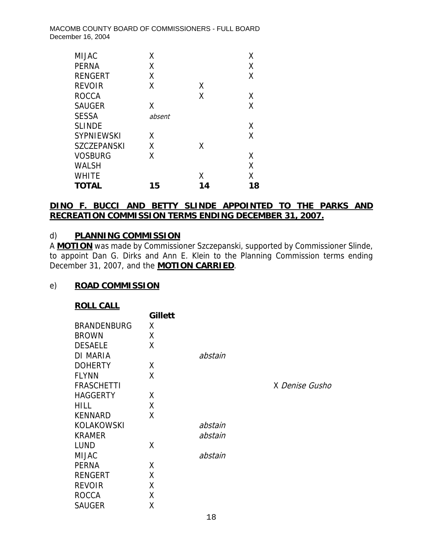| <b>MIJAC</b>       | Χ      |    | Χ  |
|--------------------|--------|----|----|
| <b>PERNA</b>       | Χ      |    | Χ  |
| <b>RENGERT</b>     | Χ      |    | Χ  |
| <b>REVOIR</b>      | Χ      | χ  |    |
| <b>ROCCA</b>       |        | χ  | χ  |
| <b>SAUGER</b>      | Χ      |    | X  |
| <b>SESSA</b>       | absent |    |    |
| <b>SLINDE</b>      |        |    | X  |
| <b>SYPNIEWSKI</b>  | x      |    | X  |
| <b>SZCZEPANSKI</b> | χ      | χ  |    |
| <b>VOSBURG</b>     | χ      |    | χ  |
| <b>WALSH</b>       |        |    | Χ  |
| <b>WHITE</b>       |        | χ  | χ  |
| <b>TOTAL</b>       | 15     | 14 | 18 |

## **DINO F. BUCCI AND BETTY SLINDE APPOINTED TO THE PARKS AND RECREATION COMMISSION TERMS ENDING DECEMBER 31, 2007.**

### d) **PLANNING COMMISSION**

A **MOTION** was made by Commissioner Szczepanski, supported by Commissioner Slinde, to appoint Dan G. Dirks and Ann E. Klein to the Planning Commission terms ending December 31, 2007, and the **MOTION CARRIED**.

## e) **ROAD COMMISSION**

| <b>ROLL CALL</b> |  |
|------------------|--|
|                  |  |

| <u>.</u>           |                |         |                |
|--------------------|----------------|---------|----------------|
|                    | <b>Gillett</b> |         |                |
| <b>BRANDENBURG</b> | X.             |         |                |
| <b>BROWN</b>       | Χ              |         |                |
| <b>DESAELE</b>     | Χ              |         |                |
| <b>DI MARIA</b>    |                | abstain |                |
| <b>DOHERTY</b>     | Χ              |         |                |
| <b>FLYNN</b>       | Χ              |         |                |
| <b>FRASCHETTI</b>  |                |         | X Denise Gusho |
| <b>HAGGERTY</b>    | X              |         |                |
| <b>HILL</b>        | Χ              |         |                |
| <b>KENNARD</b>     | X              |         |                |
| <b>KOLAKOWSKI</b>  |                | abstain |                |
| <b>KRAMER</b>      |                | abstain |                |
| <b>LUND</b>        | X              |         |                |
| <b>MIJAC</b>       |                | abstain |                |
| <b>PERNA</b>       | X              |         |                |
| <b>RENGERT</b>     | χ              |         |                |
| <b>REVOIR</b>      | χ              |         |                |
| <b>ROCCA</b>       | Χ              |         |                |
| <b>SAUGER</b>      | Χ              |         |                |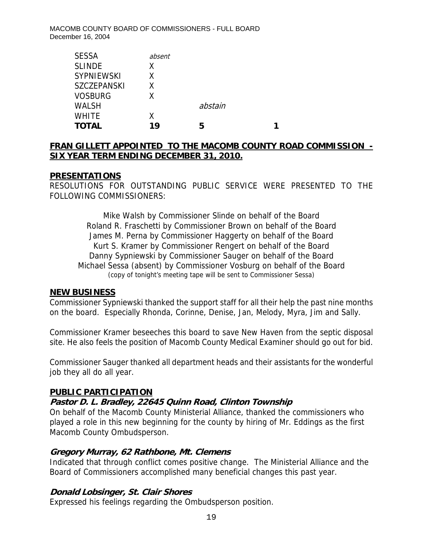| <b>SESSA</b>       | absent |         |  |
|--------------------|--------|---------|--|
| <b>SLINDE</b>      | X.     |         |  |
| <b>SYPNIEWSKI</b>  | x      |         |  |
| <b>SZCZEPANSKI</b> | Χ      |         |  |
| <b>VOSBURG</b>     | Χ      |         |  |
| <b>WALSH</b>       |        | abstain |  |
| <b>WHITE</b>       | Χ      |         |  |
| <b>TOTAL</b>       | 19     | 5       |  |

## **FRAN GILLETT APPOINTED TO THE MACOMB COUNTY ROAD COMMISSION - SIX YEAR TERM ENDING DECEMBER 31, 2010.**

### **PRESENTATIONS**

RESOLUTIONS FOR OUTSTANDING PUBLIC SERVICE WERE PRESENTED TO THE FOLLOWING COMMISSIONERS:

Mike Walsh by Commissioner Slinde on behalf of the Board Roland R. Fraschetti by Commissioner Brown on behalf of the Board James M. Perna by Commissioner Haggerty on behalf of the Board Kurt S. Kramer by Commissioner Rengert on behalf of the Board Danny Sypniewski by Commissioner Sauger on behalf of the Board Michael Sessa (absent) by Commissioner Vosburg on behalf of the Board (copy of tonight's meeting tape will be sent to Commissioner Sessa)

### **NEW BUSINESS**

Commissioner Sypniewski thanked the support staff for all their help the past nine months on the board. Especially Rhonda, Corinne, Denise, Jan, Melody, Myra, Jim and Sally.

Commissioner Kramer beseeches this board to save New Haven from the septic disposal site. He also feels the position of Macomb County Medical Examiner should go out for bid.

Commissioner Sauger thanked all department heads and their assistants for the wonderful job they all do all year.

### **PUBLIC PARTICIPATION**

### **Pastor D. L. Bradley, 22645 Quinn Road, Clinton Township**

On behalf of the Macomb County Ministerial Alliance, thanked the commissioners who played a role in this new beginning for the county by hiring of Mr. Eddings as the first Macomb County Ombudsperson.

### **Gregory Murray, 62 Rathbone, Mt. Clemens**

Indicated that through conflict comes positive change. The Ministerial Alliance and the Board of Commissioners accomplished many beneficial changes this past year.

### **Donald Lobsinger, St. Clair Shores**

Expressed his feelings regarding the Ombudsperson position.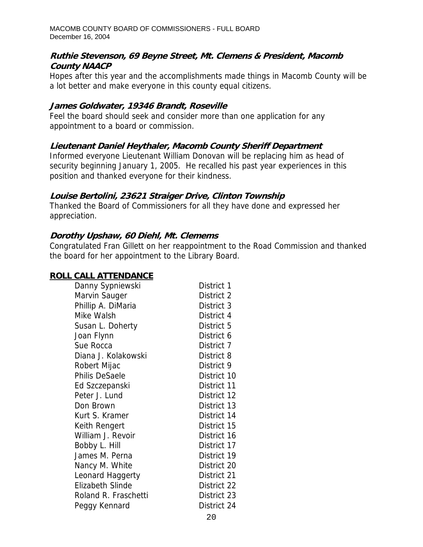### **Ruthie Stevenson, 69 Beyne Street, Mt. Clemens & President, Macomb County NAACP**

Hopes after this year and the accomplishments made things in Macomb County will be a lot better and make everyone in this county equal citizens.

### **James Goldwater, 19346 Brandt, Roseville**

Feel the board should seek and consider more than one application for any appointment to a board or commission.

# **Lieutenant Daniel Heythaler, Macomb County Sheriff Department**

Informed everyone Lieutenant William Donovan will be replacing him as head of security beginning January 1, 2005. He recalled his past year experiences in this position and thanked everyone for their kindness.

## **Louise Bertolini, 23621 Straiger Drive, Clinton Township**

Thanked the Board of Commissioners for all they have done and expressed her appreciation.

## **Dorothy Upshaw, 60 Diehl, Mt. Clemems**

Congratulated Fran Gillett on her reappointment to the Road Commission and thanked the board for her appointment to the Library Board.

## **ROLL CALL ATTENDANCE**

| Danny Sypniewski        | District 1  |
|-------------------------|-------------|
| Marvin Sauger           | District 2  |
| Phillip A. DiMaria      | District 3  |
| Mike Walsh              | District 4  |
| Susan L. Doherty        | District 5  |
| Joan Flynn              | District 6  |
| Sue Rocca               | District 7  |
| Diana J. Kolakowski     | District 8  |
| Robert Mijac            | District 9  |
| Philis DeSaele          | District 10 |
| Ed Szczepanski          | District 11 |
| Peter J. Lund           | District 12 |
| Don Brown               | District 13 |
| Kurt S. Kramer          | District 14 |
| Keith Rengert           | District 15 |
| William J. Revoir       | District 16 |
| Bobby L. Hill           | District 17 |
| James M. Perna          | District 19 |
| Nancy M. White          | District 20 |
| Leonard Haggerty        | District 21 |
| <b>Elizabeth Slinde</b> | District 22 |
| Roland R. Fraschetti    | District 23 |
| Peggy Kennard           | District 24 |